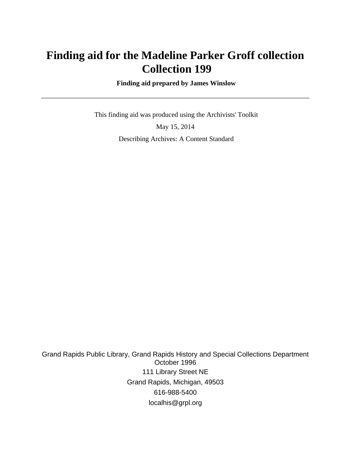# **Finding aid for the Madeline Parker Groff collection Collection 199**

 **Finding aid prepared by James Winslow**

 This finding aid was produced using the Archivists' Toolkit May 15, 2014 Describing Archives: A Content Standard

Grand Rapids Public Library, Grand Rapids History and Special Collections Department October 1996 111 Library Street NE Grand Rapids, Michigan, 49503 616-988-5400 localhis@grpl.org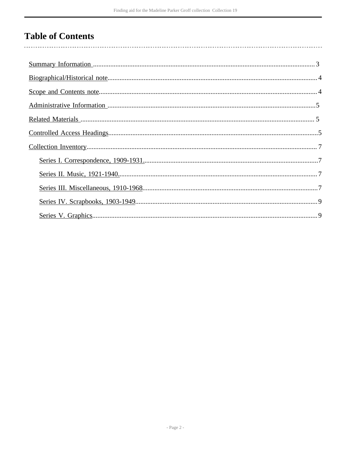# **Table of Contents**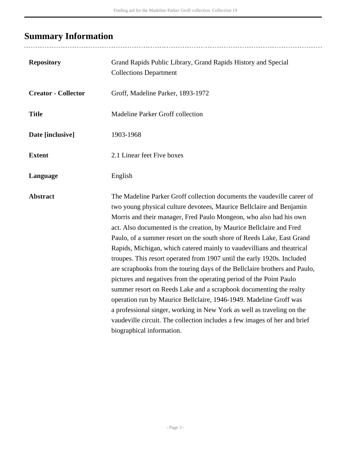# <span id="page-2-0"></span>**Summary Information**

| <b>Repository</b>          | Grand Rapids Public Library, Grand Rapids History and Special<br><b>Collections Department</b>                                                                                                                                                                                                                                                                                                                                                                                                                                                                                                                                                                                                                                                                                                                                                                                                                                                                                                                    |
|----------------------------|-------------------------------------------------------------------------------------------------------------------------------------------------------------------------------------------------------------------------------------------------------------------------------------------------------------------------------------------------------------------------------------------------------------------------------------------------------------------------------------------------------------------------------------------------------------------------------------------------------------------------------------------------------------------------------------------------------------------------------------------------------------------------------------------------------------------------------------------------------------------------------------------------------------------------------------------------------------------------------------------------------------------|
| <b>Creator - Collector</b> | Groff, Madeline Parker, 1893-1972                                                                                                                                                                                                                                                                                                                                                                                                                                                                                                                                                                                                                                                                                                                                                                                                                                                                                                                                                                                 |
| <b>Title</b>               | Madeline Parker Groff collection                                                                                                                                                                                                                                                                                                                                                                                                                                                                                                                                                                                                                                                                                                                                                                                                                                                                                                                                                                                  |
| Date [inclusive]           | 1903-1968                                                                                                                                                                                                                                                                                                                                                                                                                                                                                                                                                                                                                                                                                                                                                                                                                                                                                                                                                                                                         |
| <b>Extent</b>              | 2.1 Linear feet Five boxes                                                                                                                                                                                                                                                                                                                                                                                                                                                                                                                                                                                                                                                                                                                                                                                                                                                                                                                                                                                        |
| Language                   | English                                                                                                                                                                                                                                                                                                                                                                                                                                                                                                                                                                                                                                                                                                                                                                                                                                                                                                                                                                                                           |
| <b>Abstract</b>            | The Madeline Parker Groff collection documents the vaudeville career of<br>two young physical culture devotees, Maurice Bellclaire and Benjamin<br>Morris and their manager, Fred Paulo Mongeon, who also had his own<br>act. Also documented is the creation, by Maurice Bellclaire and Fred<br>Paulo, of a summer resort on the south shore of Reeds Lake, East Grand<br>Rapids, Michigan, which catered mainly to vaudevillians and theatrical<br>troupes. This resort operated from 1907 until the early 1920s. Included<br>are scrapbooks from the touring days of the Bellclaire brothers and Paulo,<br>pictures and negatives from the operating period of the Point Paulo<br>summer resort on Reeds Lake and a scrapbook documenting the realty<br>operation run by Maurice Bellclaire, 1946-1949. Madeline Groff was<br>a professional singer, working in New York as well as traveling on the<br>vaudeville circuit. The collection includes a few images of her and brief<br>biographical information. |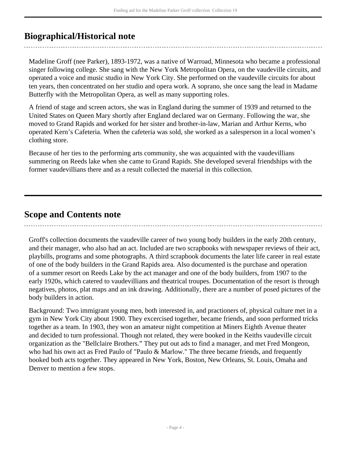## <span id="page-3-0"></span>**Biographical/Historical note**

Madeline Groff (nee Parker), 1893-1972, was a native of Warroad, Minnesota who became a professional singer following college. She sang with the New York Metropolitan Opera, on the vaudeville circuits, and operated a voice and music studio in New York City. She performed on the vaudeville circuits for about ten years, then concentrated on her studio and opera work. A soprano, she once sang the lead in Madame Butterfly with the Metropolitan Opera, as well as many supporting roles.

A friend of stage and screen actors, she was in England during the summer of 1939 and returned to the United States on Queen Mary shortly after England declared war on Germany. Following the war, she moved to Grand Rapids and worked for her sister and brother-in-law, Marian and Arthur Kerns, who operated Kern's Cafeteria. When the cafeteria was sold, she worked as a salesperson in a local women's clothing store.

Because of her ties to the performing arts community, she was acquainted with the vaudevillians summering on Reeds lake when she came to Grand Rapids. She developed several friendships with the former vaudevillians there and as a result collected the material in this collection.

### <span id="page-3-1"></span>**Scope and Contents note**

Groff's collection documents the vaudeville career of two young body builders in the early 20th century, and their manager, who also had an act. Included are two scrapbooks with newspaper reviews of their act, playbills, programs and some photographs. A third scrapbook documents the later life career in real estate of one of the body builders in the Grand Rapids area. Also documented is the purchase and operation of a summer resort on Reeds Lake by the act manager and one of the body builders, from 1907 to the early 1920s, which catered to vaudevillians and theatrical troupes. Documentation of the resort is through negatives, photos, plat maps and an ink drawing. Additionally, there are a number of posed pictures of the body builders in action.

Background: Two immigrant young men, both interested in, and practioners of, physical culture met in a gym in New York City about 1900. They excercised together, became friends, and soon performed tricks together as a team. In 1903, they won an amateur night competition at Miners Eighth Avenue theater and decided to turn professional. Though not related, they were booked in the Keiths vaudeville circuit organization as the "Bellclaire Brothers." They put out ads to find a manager, and met Fred Mongeon, who had his own act as Fred Paulo of "Paulo & Marlow." The three became friends, and frequently booked both acts together. They appeared in New York, Boston, New Orleans, St. Louis, Omaha and Denver to mention a few stops.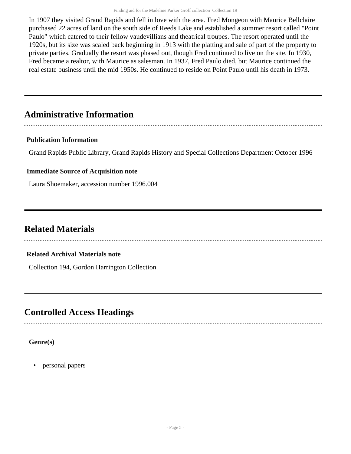In 1907 they visited Grand Rapids and fell in love with the area. Fred Mongeon with Maurice Bellclaire purchased 22 acres of land on the south side of Reeds Lake and established a summer resort called "Point Paulo" which catered to their fellow vaudevillians and theatrical troupes. The resort operated until the 1920s, but its size was scaled back beginning in 1913 with the platting and sale of part of the property to private parties. Gradually the resort was phased out, though Fred continued to live on the site. In 1930, Fred became a realtor, with Maurice as salesman. In 1937, Fred Paulo died, but Maurice continued the real estate business until the mid 1950s. He continued to reside on Point Paulo until his death in 1973.

## <span id="page-4-0"></span>**Administrative Information**

#### **Publication Information**

Grand Rapids Public Library, Grand Rapids History and Special Collections Department October 1996

#### **Immediate Source of Acquisition note**

Laura Shoemaker, accession number 1996.004

## <span id="page-4-1"></span>**Related Materials**

#### **Related Archival Materials note**

Collection 194, Gordon Harrington Collection

## <span id="page-4-2"></span>**Controlled Access Headings**

**Genre(s)**

• personal papers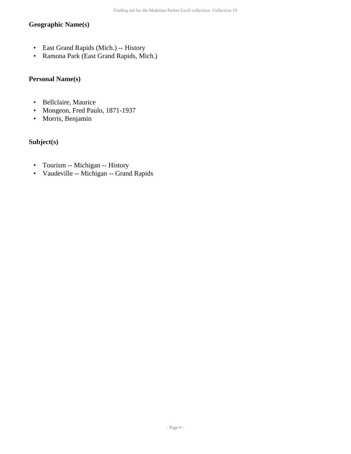#### **Geographic Name(s)**

- East Grand Rapids (Mich.) -- History
- Ramona Park (East Grand Rapids, Mich.)

#### **Personal Name(s)**

- Bellclaire, Maurice
- Mongeon, Fred Paulo, 1871-1937
- Morris, Benjamin

#### **Subject(s)**

- Tourism -- Michigan -- History
- Vaudeville -- Michigan -- Grand Rapids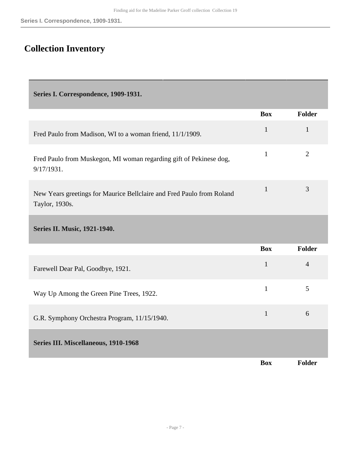## <span id="page-6-0"></span>**Collection Inventory**

<span id="page-6-1"></span>**Series I. Correspondence, 1909-1931.** 

<span id="page-6-3"></span><span id="page-6-2"></span>

|                                                                                         | <b>Box</b>   | <b>Folder</b>  |
|-----------------------------------------------------------------------------------------|--------------|----------------|
| Fred Paulo from Madison, WI to a woman friend, 11/1/1909.                               | $\mathbf{1}$ | $\mathbf{1}$   |
| Fred Paulo from Muskegon, MI woman regarding gift of Pekinese dog,<br>9/17/1931.        | $\mathbf{1}$ | $\overline{2}$ |
| New Years greetings for Maurice Bellclaire and Fred Paulo from Roland<br>Taylor, 1930s. | $\mathbf{1}$ | 3              |
| Series II. Music, 1921-1940.                                                            |              |                |
|                                                                                         | <b>Box</b>   | <b>Folder</b>  |
| Farewell Dear Pal, Goodbye, 1921.                                                       | $\mathbf{1}$ | $\overline{4}$ |
| Way Up Among the Green Pine Trees, 1922.                                                | $\mathbf{1}$ | 5              |
| G.R. Symphony Orchestra Program, 11/15/1940.                                            | $\mathbf{1}$ | 6              |
| Series III. Miscellaneous, 1910-1968                                                    |              |                |
|                                                                                         | <b>Box</b>   | Folder         |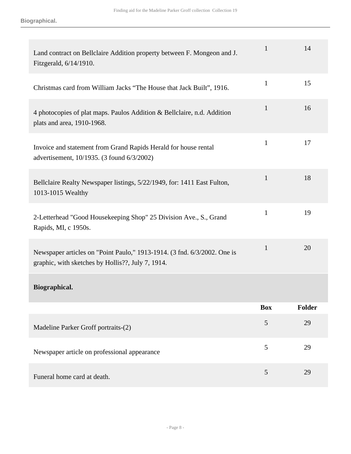| Land contract on Bellclaire Addition property between F. Mongeon and J.<br>Fitzgerald, 6/14/1910.                             | 1            | 14            |
|-------------------------------------------------------------------------------------------------------------------------------|--------------|---------------|
| Christmas card from William Jacks "The House that Jack Built", 1916.                                                          | $\mathbf{1}$ | 15            |
| 4 photocopies of plat maps. Paulos Addition & Bellclaire, n.d. Addition<br>plats and area, 1910-1968.                         | $\mathbf{1}$ | 16            |
| Invoice and statement from Grand Rapids Herald for house rental<br>advertisement, 10/1935. (3 found 6/3/2002)                 | 1            | 17            |
| Bellclaire Realty Newspaper listings, 5/22/1949, for: 1411 East Fulton,<br>1013-1015 Wealthy                                  | $\mathbf{1}$ | 18            |
| 2-Letterhead "Good Housekeeping Shop" 25 Division Ave., S., Grand<br>Rapids, MI, c 1950s.                                     | 1            | 19            |
| Newspaper articles on "Point Paulo," 1913-1914. (3 fnd. 6/3/2002. One is<br>graphic, with sketches by Hollis??, July 7, 1914. | 1            | 20            |
| Biographical.                                                                                                                 |              |               |
|                                                                                                                               | <b>Box</b>   | <b>Folder</b> |
| Madeline Parker Groff portraits-(2)                                                                                           | 5            | 29            |
| Newspaper article on professional appearance                                                                                  | 5            | 29            |
| Funeral home card at death.                                                                                                   | 5            | 29            |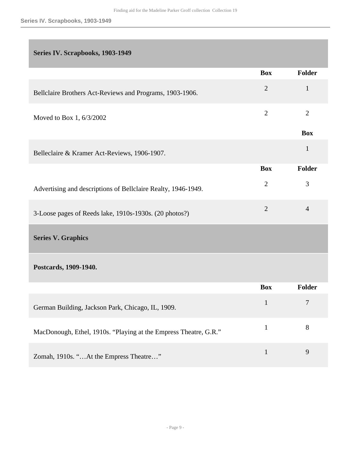#### <span id="page-8-0"></span>**Series IV. Scrapbooks, 1903-1949**

<span id="page-8-1"></span>

|                                                                  | <b>Box</b>     | Folder         |
|------------------------------------------------------------------|----------------|----------------|
| Bellclaire Brothers Act-Reviews and Programs, 1903-1906.         | $\sqrt{2}$     | $\mathbf{1}$   |
| Moved to Box 1, 6/3/2002                                         | $\overline{2}$ | $\overline{2}$ |
|                                                                  |                | <b>Box</b>     |
| Belleclaire & Kramer Act-Reviews, 1906-1907.                     |                | $\mathbf{1}$   |
|                                                                  | <b>Box</b>     | Folder         |
| Advertising and descriptions of Bellclaire Realty, 1946-1949.    | $\overline{2}$ | 3              |
| 3-Loose pages of Reeds lake, 1910s-1930s. (20 photos?)           | $\overline{2}$ | $\overline{4}$ |
| <b>Series V. Graphics</b>                                        |                |                |
| Postcards, 1909-1940.                                            |                |                |
|                                                                  | <b>Box</b>     | Folder         |
| German Building, Jackson Park, Chicago, IL, 1909.                | $\mathbf{1}$   | $\tau$         |
| MacDonough, Ethel, 1910s. "Playing at the Empress Theatre, G.R." | $\mathbf{1}$   | $8\,$          |
| Zomah, 1910s. "At the Empress Theatre"                           | $\mathbf{1}$   | 9              |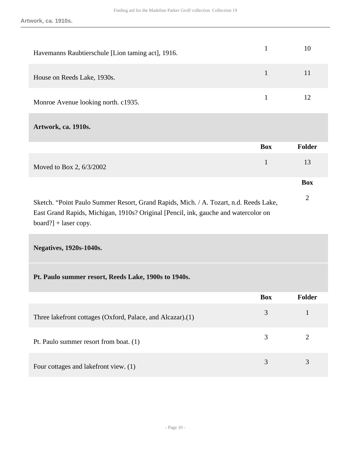| Havemanns Raubtierschule [Lion taming act], 1916.                                                                                                                                                       | $\mathbf{1}$ | 10             |
|---------------------------------------------------------------------------------------------------------------------------------------------------------------------------------------------------------|--------------|----------------|
| House on Reeds Lake, 1930s.                                                                                                                                                                             | $\mathbf{1}$ | 11             |
| Monroe Avenue looking north. c1935.                                                                                                                                                                     | $\mathbf{1}$ | 12             |
| Artwork, ca. 1910s.                                                                                                                                                                                     |              |                |
|                                                                                                                                                                                                         | <b>Box</b>   | <b>Folder</b>  |
| Moved to Box 2, 6/3/2002                                                                                                                                                                                | $\mathbf{1}$ | 13             |
|                                                                                                                                                                                                         |              | <b>Box</b>     |
| Sketch. "Point Paulo Summer Resort, Grand Rapids, Mich. / A. Tozart, n.d. Reeds Lake,<br>East Grand Rapids, Michigan, 1910s? Original [Pencil, ink, gauche and watercolor on<br>$board?] + laser copy.$ |              | $\overline{2}$ |

**Negatives, 1920s-1040s.** 

|                                                            | <b>Box</b> | <b>Folder</b> |
|------------------------------------------------------------|------------|---------------|
| Three lakefront cottages (Oxford, Palace, and Alcazar).(1) |            |               |
| Pt. Paulo summer resort from boat. (1)                     |            |               |
| Four cottages and lakefront view. (1)                      |            |               |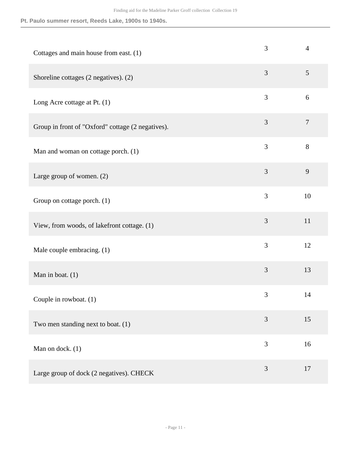| Cottages and main house from east. (1)            | 3              | $\overline{4}$ |
|---------------------------------------------------|----------------|----------------|
| Shoreline cottages (2 negatives). (2)             | 3              | $\mathfrak{S}$ |
| Long Acre cottage at Pt. $(1)$                    | $\mathfrak{Z}$ | 6              |
| Group in front of "Oxford" cottage (2 negatives). | 3              | $\overline{7}$ |
| Man and woman on cottage porch. (1)               | 3              | 8              |
| Large group of women. $(2)$                       | 3              | 9              |
| Group on cottage porch. (1)                       | 3              | 10             |
| View, from woods, of lakefront cottage. (1)       | 3              | 11             |
| Male couple embracing. (1)                        | 3              | 12             |
| Man in boat. $(1)$                                | 3              | 13             |
| Couple in rowboat. (1)                            | 3              | 14             |
| Two men standing next to boat. (1)                | 3              | 15             |
| Man on dock. (1)                                  | 3              | 16             |
| Large group of dock (2 negatives). CHECK          | 3              | 17             |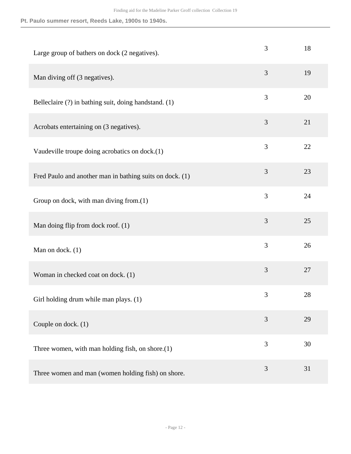| Large group of bathers on dock (2 negatives).            | 3              | 18 |
|----------------------------------------------------------|----------------|----|
| Man diving off (3 negatives).                            | 3              | 19 |
| Belleclaire (?) in bathing suit, doing handstand. (1)    | 3              | 20 |
| Acrobats entertaining on (3 negatives).                  | 3              | 21 |
| Vaudeville troupe doing acrobatics on dock.(1)           | 3              | 22 |
| Fred Paulo and another man in bathing suits on dock. (1) | 3              | 23 |
| Group on dock, with man diving from.(1)                  | 3              | 24 |
| Man doing flip from dock roof. (1)                       | 3              | 25 |
| Man on dock. $(1)$                                       | 3              | 26 |
| Woman in checked coat on dock. (1)                       | 3              | 27 |
| Girl holding drum while man plays. (1)                   | 3              | 28 |
| Couple on dock. (1)                                      | $\mathfrak{Z}$ | 29 |
| Three women, with man holding fish, on shore. $(1)$      | 3              | 30 |
| Three women and man (women holding fish) on shore.       | $\mathfrak{Z}$ | 31 |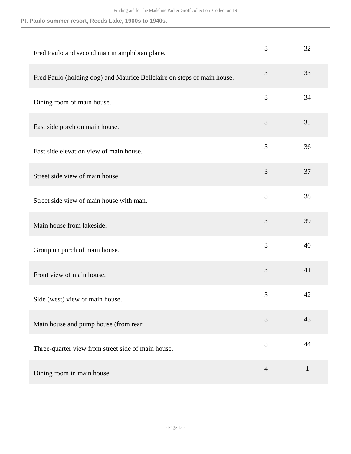| Fred Paulo and second man in amphibian plane.                           | 3              | 32           |
|-------------------------------------------------------------------------|----------------|--------------|
| Fred Paulo (holding dog) and Maurice Bellclaire on steps of main house. | 3              | 33           |
| Dining room of main house.                                              | 3              | 34           |
| East side porch on main house.                                          | 3              | 35           |
| East side elevation view of main house.                                 | 3              | 36           |
| Street side view of main house.                                         | 3              | 37           |
| Street side view of main house with man.                                | 3              | 38           |
| Main house from lakeside.                                               | 3              | 39           |
| Group on porch of main house.                                           | 3              | 40           |
| Front view of main house.                                               | 3              | 41           |
| Side (west) view of main house.                                         | 3              | 42           |
| Main house and pump house (from rear.                                   | 3              | 43           |
| Three-quarter view from street side of main house.                      | 3              | 44           |
| Dining room in main house.                                              | $\overline{4}$ | $\mathbf{1}$ |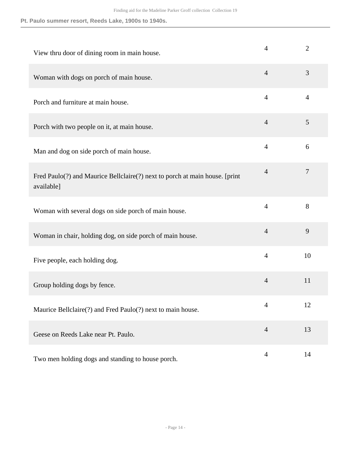| View thru door of dining room in main house.                                              | $\overline{4}$ | $\overline{2}$ |
|-------------------------------------------------------------------------------------------|----------------|----------------|
| Woman with dogs on porch of main house.                                                   | $\overline{4}$ | 3              |
| Porch and furniture at main house.                                                        | $\overline{4}$ | $\overline{4}$ |
| Porch with two people on it, at main house.                                               | $\overline{4}$ | 5              |
| Man and dog on side porch of main house.                                                  | $\overline{4}$ | 6              |
| Fred Paulo(?) and Maurice Bellclaire(?) next to porch at main house. [print<br>available] | $\overline{4}$ | $\overline{7}$ |
| Woman with several dogs on side porch of main house.                                      | $\overline{4}$ | 8              |
| Woman in chair, holding dog, on side porch of main house.                                 | $\overline{4}$ | 9              |
| Five people, each holding dog.                                                            | $\overline{4}$ | 10             |
| Group holding dogs by fence.                                                              | $\overline{4}$ | 11             |
| Maurice Bellclaire(?) and Fred Paulo(?) next to main house.                               | $\overline{4}$ | 12             |
| Geese on Reeds Lake near Pt. Paulo.                                                       | $\overline{4}$ | 13             |
| Two men holding dogs and standing to house porch.                                         | $\overline{4}$ | 14             |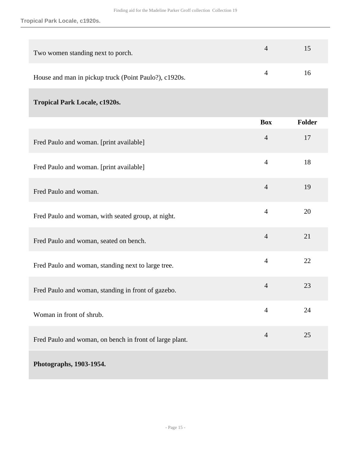**Tropical Park Locale, c1920s.**

| Two women standing next to porch.                     | 15 |
|-------------------------------------------------------|----|
| House and man in pickup truck (Point Paulo?), c1920s. | 16 |

### **Tropical Park Locale, c1920s.**

|                                                         | <b>Box</b>     | <b>Folder</b> |
|---------------------------------------------------------|----------------|---------------|
| Fred Paulo and woman. [print available]                 | $\overline{4}$ | 17            |
| Fred Paulo and woman. [print available]                 | $\overline{4}$ | 18            |
| Fred Paulo and woman.                                   | $\overline{4}$ | 19            |
| Fred Paulo and woman, with seated group, at night.      | $\overline{4}$ | 20            |
| Fred Paulo and woman, seated on bench.                  | $\overline{4}$ | 21            |
| Fred Paulo and woman, standing next to large tree.      | $\overline{4}$ | 22            |
| Fred Paulo and woman, standing in front of gazebo.      | $\overline{4}$ | 23            |
| Woman in front of shrub.                                | $\overline{4}$ | 24            |
| Fred Paulo and woman, on bench in front of large plant. | $\overline{4}$ | 25            |
| Photographs, 1903-1954.                                 |                |               |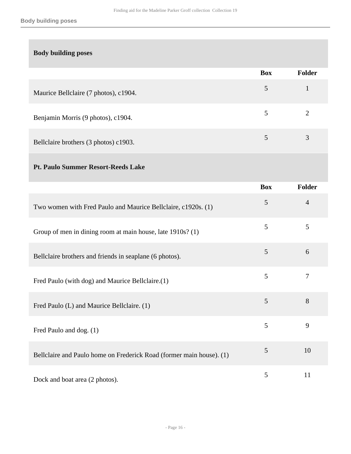#### **Body building poses**

|                                       | <b>Box</b> | <b>Folder</b> |
|---------------------------------------|------------|---------------|
| Maurice Bellclaire (7 photos), c1904. | 5          |               |
| Benjamin Morris (9 photos), c1904.    | 5          | ∍             |
| Bellclaire brothers (3 photos) c1903. |            | 3             |

#### **Pt. Paulo Summer Resort-Reeds Lake**

|                                                                      | <b>Box</b> | Folder         |
|----------------------------------------------------------------------|------------|----------------|
| Two women with Fred Paulo and Maurice Bellclaire, c1920s. (1)        | 5          | $\overline{4}$ |
| Group of men in dining room at main house, late 1910s? (1)           | 5          | 5              |
| Bellclaire brothers and friends in seaplane (6 photos).              | 5          | 6              |
| Fred Paulo (with dog) and Maurice Bellclaire.(1)                     | 5          | 7              |
| Fred Paulo (L) and Maurice Bellclaire. (1)                           | 5          | 8              |
| Fred Paulo and dog. (1)                                              | 5          | 9              |
| Bellclaire and Paulo home on Frederick Road (former main house). (1) | 5          | 10             |
| Dock and boat area (2 photos).                                       | 5          | 11             |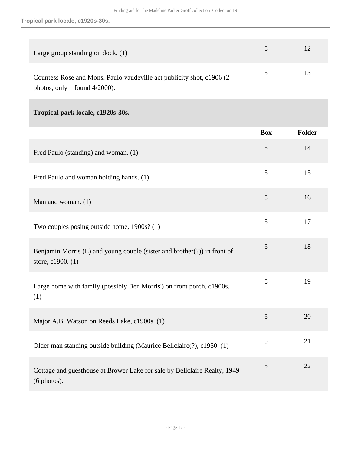**Tropical park locale, c1920s-30s.**

| Large group standing on dock. (1)                                      | 5 <sup>1</sup> | 12 |
|------------------------------------------------------------------------|----------------|----|
| Countess Rose and Mons. Paulo vaudeville act publicity shot, c1906 (2) | $\mathcal{D}$  | 13 |
| photos, only 1 found $4/2000$ ).                                       |                |    |

### **Tropical park locale, c1920s-30s.**

|                                                                                               | <b>Box</b>     | Folder |
|-----------------------------------------------------------------------------------------------|----------------|--------|
| Fred Paulo (standing) and woman. (1)                                                          | 5              | 14     |
| Fred Paulo and woman holding hands. (1)                                                       | 5              | 15     |
| Man and woman. (1)                                                                            | 5              | 16     |
| Two couples posing outside home, 1900s? (1)                                                   | 5              | 17     |
| Benjamin Morris (L) and young couple (sister and brother(?)) in front of<br>store, c1900. (1) | 5              | 18     |
| Large home with family (possibly Ben Morris') on front porch, c1900s.<br>(1)                  | 5              | 19     |
| Major A.B. Watson on Reeds Lake, c1900s. (1)                                                  | 5              | 20     |
| Older man standing outside building (Maurice Bellclaire(?), c1950. (1)                        | 5              | 21     |
| Cottage and guesthouse at Brower Lake for sale by Bellclaire Realty, 1949<br>(6 photos).      | $\mathfrak{S}$ | 22     |